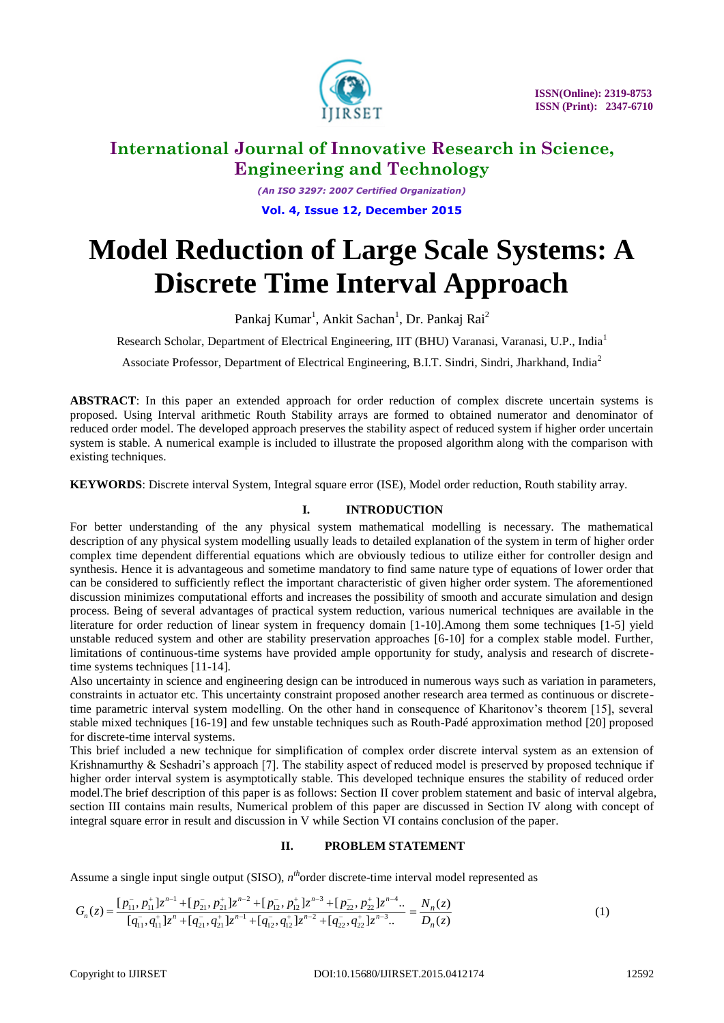

*(An ISO 3297: 2007 Certified Organization)* **Vol. 4, Issue 12, December 2015**

# **Model Reduction of Large Scale Systems: A Discrete Time Interval Approach**

Pankaj Kumar<sup>1</sup>, Ankit Sachan<sup>1</sup>, Dr. Pankaj Rai<sup>2</sup>

Research Scholar, Department of Electrical Engineering, IIT (BHU) Varanasi, Varanasi, U.P., India<sup>1</sup>

Associate Professor, Department of Electrical Engineering, B.I.T. Sindri, Sindri, Jharkhand, India<sup>2</sup>

**ABSTRACT**: In this paper an extended approach for order reduction of complex discrete uncertain systems is proposed. Using Interval arithmetic Routh Stability arrays are formed to obtained numerator and denominator of reduced order model. The developed approach preserves the stability aspect of reduced system if higher order uncertain system is stable. A numerical example is included to illustrate the proposed algorithm along with the comparison with existing techniques.

**KEYWORDS**: Discrete interval System, Integral square error (ISE), Model order reduction, Routh stability array.

## **I. INTRODUCTION**

For better understanding of the any physical system mathematical modelling is necessary. The mathematical description of any physical system modelling usually leads to detailed explanation of the system in term of higher order complex time dependent differential equations which are obviously tedious to utilize either for controller design and synthesis. Hence it is advantageous and sometime mandatory to find same nature type of equations of lower order that can be considered to sufficiently reflect the important characteristic of given higher order system. The aforementioned discussion minimizes computational efforts and increases the possibility of smooth and accurate simulation and design process. Being of several advantages of practical system reduction, various numerical techniques are available in the literature for order reduction of linear system in frequency domain [1-10].Among them some techniques [1-5] yield unstable reduced system and other are stability preservation approaches [6-10] for a complex stable model. Further, limitations of continuous-time systems have provided ample opportunity for study, analysis and research of discretetime systems techniques [11-14].

Also uncertainty in science and engineering design can be introduced in numerous ways such as variation in parameters, constraints in actuator etc. This uncertainty constraint proposed another research area termed as continuous or discretetime parametric interval system modelling. On the other hand in consequence of Kharitonov's theorem [15], several stable mixed techniques [16-19] and few unstable techniques such as Routh-Padé approximation method [20] proposed for discrete-time interval systems.

This brief included a new technique for simplification of complex order discrete interval system as an extension of Krishnamurthy & Seshadri's approach [7]. The stability aspect of reduced model is preserved by proposed technique if higher order interval system is asymptotically stable. This developed technique ensures the stability of reduced order model.The brief description of this paper is as follows: Section II cover problem statement and basic of interval algebra, section III contains main results, Numerical problem of this paper are discussed in Section IV along with concept of integral square error in result and discussion in V while Section VI contains conclusion of the paper.

## **II. PROBLEM STATEMENT**

Assume a single input single output (SISO),  $n^{th}$ order discrete-time interval model represented as<br>  $[n^{-}_{\cdot\cdot}, p^{+}_{\cdot\cdot}]z^{n-1} + [p^{-}_{\cdot\cdot}, p^{+}_{\cdot\cdot}]z^{n-2} + [p^{-}_{\cdot\cdot}, p^{+}_{\cdot\cdot}]z^{n-3} + [p^{-}_{\cdot\cdot}, p^{+}_{\cdot\cdot}]z^{n-4}$ .  $N(z)$ 

Assume a single input single output (SISO), 
$$
n^{th}
$$
order discrete-time interval model represented as  
\n
$$
G_n(z) = \frac{[p_{11}^-, p_{11}^+]z^{n-1} + [p_{21}^-, p_{21}^+]z^{n-2} + [p_{12}^-, p_{12}^+]z^{n-3} + [p_{22}^-, p_{22}^+]z^{n-4} \cdot \dots = \frac{N_n(z)}{[q_{11}^-, q_{11}^+]z^n + [q_{21}^-, q_{21}^+]z^{n-1} + [q_{12}^-, q_{12}^+]z^{n-2} + [q_{22}^-, q_{22}^+]z^{n-3} \dots = \frac{D_n(z)}{D_n(z)}
$$
\n(1)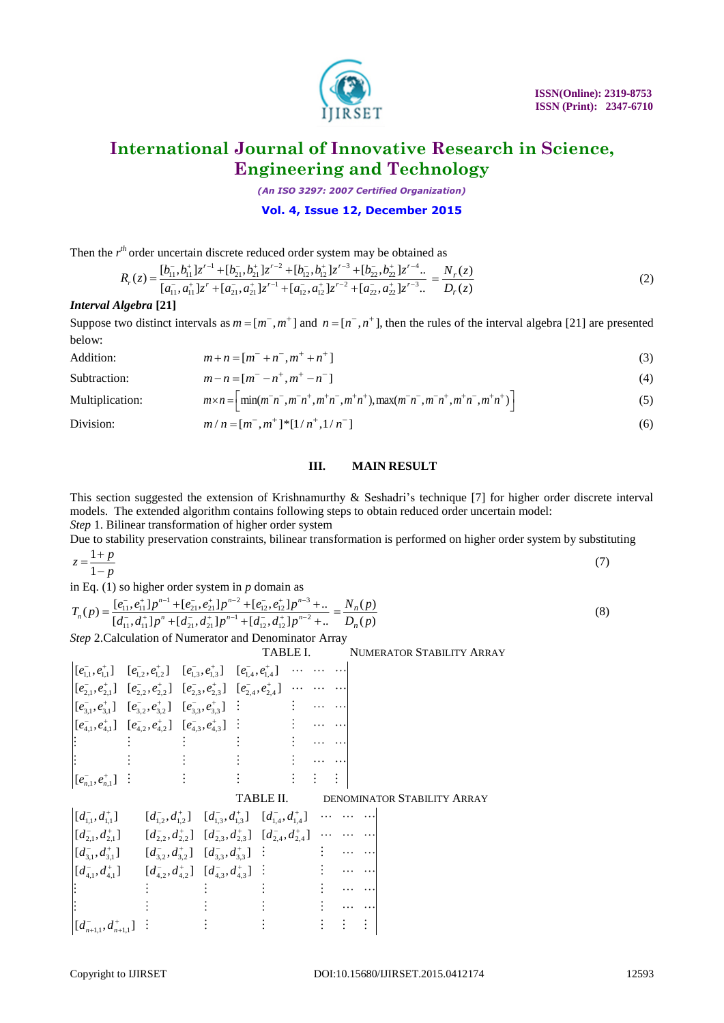

*(An ISO 3297: 2007 Certified Organization)*

## **Vol. 4, Issue 12, December 2015**

Then the 
$$
r^{th}
$$
 order uncertain discrete reduced order system may be obtained as  
\n
$$
R_r(z) = \frac{[b_{11}^-, b_{11}^+]z^{r-1} + [b_{21}^-, b_{21}^+]z^{r-2} + [b_{12}^-, b_{12}^+]z^{r-3} + [b_{22}^-, b_{22}^+]z^{r-4}...}{[a_{11}^-, a_{11}^+]z^r + [a_{21}^-, a_{21}^+]z^{r-1} + [a_{12}^-, a_{12}^+]z^{r-2} + [a_{22}^-, a_{22}^+]z^{r-3}...} = \frac{N_r(z)}{D_r(z)}
$$
\n(2)

## *Interval Algebra* **[21]**

Suppose two distinct intervals as  $m = [m^-, m^+]$  and  $n = [n^-, n^+]$ , then the rules of the interval algebra [21] are presented below:

| Addition:    | $m+n=[m^{-}+n^{-},m^{+}+n^{+}]$        | (3) |
|--------------|----------------------------------------|-----|
| Subtraction: | $m-n = [m^{-} - n^{+}, m^{+} - n^{-}]$ | (4) |

Multiplication:  $m \times n = \left[ \min(m^- n^-, m^- n^+, m^+ n^-, m^+ n^+), \max(m^- n^-, m^- n^+, m^+ n^-, m^+ n^+ ) \right]$ (5)

Division:

$$
m/n = [m^-, m^+]^* [1/n^+, 1/n^-]
$$
 (6)

## **III. MAIN RESULT**

This section suggested the extension of Krishnamurthy & Seshadri's technique [7] for higher order discrete interval models. The extended algorithm contains following steps to obtain reduced order uncertain model: *Step* 1. Bilinear transformation of higher order system

Due to stability preservation constraints, bilinear transformation is performed on higher order system by substituting

$$
z = \frac{1+p}{1-p} \tag{7}
$$

in Eq. (1) so higher order system in *p* domain as  
\n
$$
T_n(p) = \frac{[e_{11}^-, e_{11}^+]p^{n-1} + [e_{21}^-, e_{21}^+]p^{n-2} + [e_{12}^-, e_{12}^+]p^{n-3} + ...}{[d_{11}^-, d_{11}^+]p^n + [d_{21}^-, d_{21}^+]p^{n-1} + [d_{12}^-, d_{12}^+]p^{n-2} + ...} = \frac{N_n(p)}{D_n(p)}
$$
\n(8)

*Step* 2.Calculation of Numerator and Denominator Array

|                                                                                                                                                                     |                                                                                                                                                                                                                                                                                                                                                                                                                                                                             | TABLE I.  |                                 |                             |  | <b>NUMERATOR STABILITY ARRAY</b> |  |
|---------------------------------------------------------------------------------------------------------------------------------------------------------------------|-----------------------------------------------------------------------------------------------------------------------------------------------------------------------------------------------------------------------------------------------------------------------------------------------------------------------------------------------------------------------------------------------------------------------------------------------------------------------------|-----------|---------------------------------|-----------------------------|--|----------------------------------|--|
| $\begin{bmatrix} [e_{1,1}^-, e_{1,1}^+] & [e_{1,2}^-, e_{1,2}^+] & [e_{1,3}^-, e_{1,3}^+] & [e_{1,4}^-, e_{1,4}^+] & \cdots & \cdots & \cdots \end{bmatrix}$        |                                                                                                                                                                                                                                                                                                                                                                                                                                                                             |           |                                 |                             |  |                                  |  |
| $\begin{bmatrix} [e_{21}^-, e_{21}^+] & [e_{2,2}^-, e_{2,2}^+] & [e_{2,3}^-, e_{2,3}^+] & [e_{2,4}^-, e_{2,4}^+] & \cdots & \cdots & \cdots \end{bmatrix}$          |                                                                                                                                                                                                                                                                                                                                                                                                                                                                             |           |                                 |                             |  |                                  |  |
| $\begin{bmatrix} [e_{3,1}^-, e_{3,1}^+] & [e_{3,2}^-, e_{3,2}^+] & [e_{3,3}^-, e_{3,3}^+] & \vdots & \cdots & \cdots \end{bmatrix}$                                 |                                                                                                                                                                                                                                                                                                                                                                                                                                                                             |           |                                 |                             |  |                                  |  |
| $\begin{bmatrix} [e_{4,1}^-, e_{4,1}^+] & [e_{4,2}^-, e_{4,2}^+] & [e_{4,3}^-, e_{4,3}^+] & \vdots & \cdots & \cdots \end{bmatrix}$                                 |                                                                                                                                                                                                                                                                                                                                                                                                                                                                             |           |                                 |                             |  |                                  |  |
|                                                                                                                                                                     |                                                                                                                                                                                                                                                                                                                                                                                                                                                                             |           |                                 |                             |  |                                  |  |
|                                                                                                                                                                     | $\mathcal{L} = \{ \mathbf{1}, \mathbf{2}, \ldots, \mathbf{1}, \mathbf{2}, \ldots, \mathbf{2}, \ldots \}$                                                                                                                                                                                                                                                                                                                                                                    |           | $\frac{1}{2}$ and $\frac{1}{2}$ |                             |  |                                  |  |
| $[e_{n,1}^{-}, e_{n,1}^{+}]$ :                                                                                                                                      | $\mathcal{L}^{\mathcal{A}}=\left\{ \begin{array}{ll} \mathcal{L}^{\mathcal{A}}\left(\mathcal{A}^{\mathcal{A}}\right) & \mathcal{L}^{\mathcal{A}}\left(\mathcal{A}^{\mathcal{A}}\right) & \mathcal{L}^{\mathcal{A}}\left(\mathcal{A}^{\mathcal{A}}\right) & \mathcal{L}^{\mathcal{A}}\left(\mathcal{A}^{\mathcal{A}}\right) & \mathcal{L}^{\mathcal{A}}\left(\mathcal{A}^{\mathcal{A}}\right) & \mathcal{L}^{\mathcal{A}}\left(\mathcal{A}^{\mathcal{A}}\right) & \mathcal{$ |           |                                 |                             |  |                                  |  |
|                                                                                                                                                                     |                                                                                                                                                                                                                                                                                                                                                                                                                                                                             | TABLE II. |                                 |                             |  | DENOMINATOR STABILITY ARRAY      |  |
| $[(d_{1,1}^-, d_{1,1}^+] \qquad [d_{1,2}^-, d_{1,2}^+] \quad [d_{1,3}^-, d_{1,3}^+] \quad [d_{1,4}^-, d_{1,4}^+] \quad \cdots \quad \cdots \quad \cdots$            |                                                                                                                                                                                                                                                                                                                                                                                                                                                                             |           |                                 |                             |  |                                  |  |
| $\left[ [d_{2,1}^-, d_{2,1}^+] \right] = \left[ d_{2,2}^-, d_{2,2}^+ \right] \left[ d_{2,3}^-, d_{2,3}^+ \right] \left[ d_{2,4}^-, d_{2,4}^+ \right] \cdots \cdots$ |                                                                                                                                                                                                                                                                                                                                                                                                                                                                             |           |                                 |                             |  |                                  |  |
| $[(d_{3,1}^-, d_{3,1}^+] \qquad [d_{3,2}^-, d_{3,2}^+] \quad [d_{3,3}^-, d_{3,3}^+] \quad :$                                                                        |                                                                                                                                                                                                                                                                                                                                                                                                                                                                             |           |                                 | and a string for the second |  |                                  |  |
| $\left[ [d_{4,1}^-, d_{4,1}^+] \right] \left[ [d_{4,2}^-, d_{4,2}^+] \right] \left[ [d_{4,3}^-, d_{4,3}^+] \right]$                                                 |                                                                                                                                                                                                                                                                                                                                                                                                                                                                             |           |                                 | and a string for the second |  |                                  |  |
|                                                                                                                                                                     |                                                                                                                                                                                                                                                                                                                                                                                                                                                                             |           |                                 |                             |  |                                  |  |
|                                                                                                                                                                     |                                                                                                                                                                                                                                                                                                                                                                                                                                                                             |           |                                 |                             |  |                                  |  |
| $\left[ [d_{n+1,1}^-, d_{n+1,1}^+] \right]$ :                                                                                                                       |                                                                                                                                                                                                                                                                                                                                                                                                                                                                             |           |                                 |                             |  |                                  |  |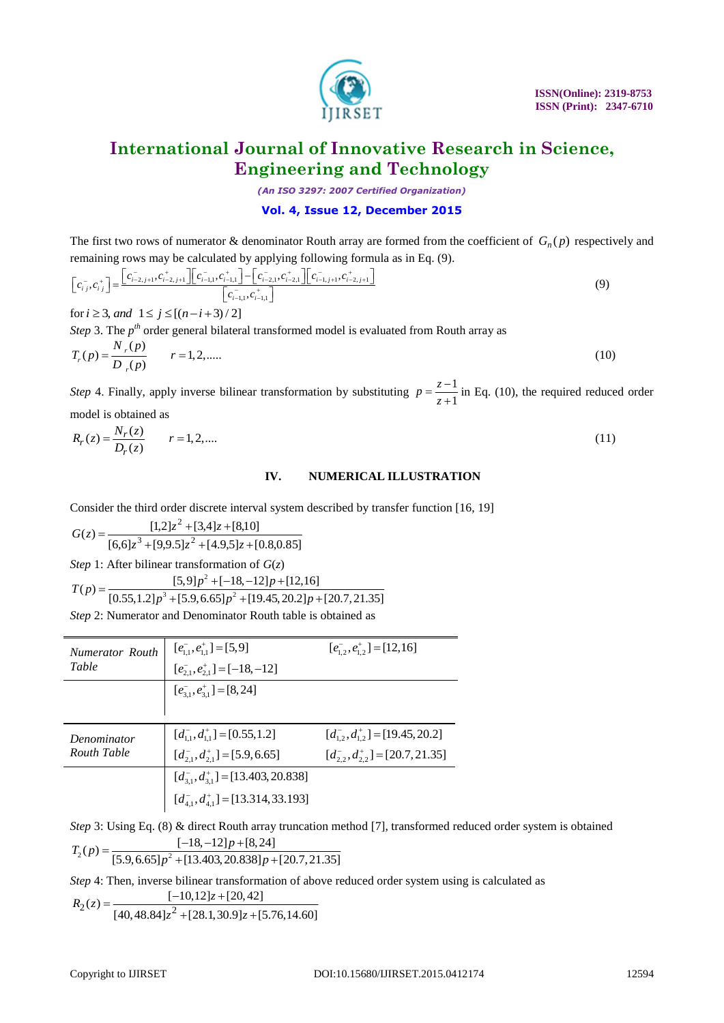

*(An ISO 3297: 2007 Certified Organization)*

# **Vol. 4, Issue 12, December 2015**

The first two rows of numerator & denominator Routh array are formed from the coefficient of  $G_n(p)$  respectively and

remaining rows may be calculated by applying following formula as in Eq. (9).  
\n
$$
\begin{bmatrix} c_{i,j}^-, c_{i,j}^+ \end{bmatrix} = \frac{\begin{bmatrix} c_{i-2,j+1}^-, c_{i-2,j+1}^+ \end{bmatrix} \begin{bmatrix} c_{i-1,j}^-, c_{i-1,j}^+ \end{bmatrix} - \begin{bmatrix} c_{i-2,j}^-, c_{i-2,j}^+ \end{bmatrix} \begin{bmatrix} c_{i-1,j+1}^-, c_{i-2,j+1}^+ \end{bmatrix}}{\begin{bmatrix} c_{i-1,j}^-, c_{i-1,j}^+ \end{bmatrix}}
$$
\nfor  $i \ge 3$ , and  $1 \le j \le [(n-i+3)/2]$  (9)

*Step* 3. The *p*<sup>th</sup> order general bilateral transformed model is evaluated from Routh array as  $N_r(p)$ 

$$
T_r(p) = \frac{N_r(p)}{D_r(p)} \qquad r = 1, 2, \dots \tag{10}
$$

*Step* 4. Finally, apply inverse bilinear transformation by substituting  $p = \frac{z-1}{z}$ 1  $p = \frac{z}{z}$  $=\frac{z-1}{z+1}$  in Eq. (10), the required reduced order

model is obtained as<br> $R_{(5)} = N_r(z)$ 

$$
R_r(z) = \frac{N_r(z)}{D_r(z)} \qquad r = 1, 2, ....
$$
\n(11)

# **IV. NUMERICAL ILLUSTRATION**

Consider the third order discrete interval system described by transfer function [16, 19]

 $[6,6] z^3 + [9,9.5] z^2 + [4.9,5] z + [0.8,0.85]$  $(z) = \frac{[1,2]z^2 + [3,4]z + [8,10]}{[6,6]z^3 + [9,9,5]z^2 + [4,9,5]z + [4,10]}$ 2  $+[9,9.5]z^2+[4.9,5]z+$  $=\frac{[1,2]z^2 + [3,4]z + [3,4]z}{2}$  $z^3$  + [9,9.5] $z^2$  + [4.9,5] $z$  $G(z) = \frac{[1,2]z^2 + [3,4]z}{2}$ 

*Step* 1: After bilinear transformation of *G*(*z*)

Step 1: After bilinear transformation of 
$$
G(z)
$$
  
\n
$$
T(p) = \frac{[5,9]p^2 + [-18,-12]p + [12,16]}{[0.55,1.2]p^3 + [5.9,6.65]p^2 + [19.45,20.2]p + [20.7,21.35]}
$$

*Step* 2: Numerator and Denominator Routh table is obtained as

| <b>Numerator Routh</b> | $[e_{11}^-, e_{11}^+] = [5, 9]$             | $[e_{1,2}^-, e_{1,2}^+] = [12, 16]$    |  |  |  |
|------------------------|---------------------------------------------|----------------------------------------|--|--|--|
| Table                  | $[e_{2.1}^{-}, e_{2.1}^{+}] = [-18, -12]$   |                                        |  |  |  |
|                        | $[e_{3,1}^{-}, e_{3,1}^{+}] = [8, 24]$      |                                        |  |  |  |
|                        |                                             |                                        |  |  |  |
| Denominator            | $[d_{1,1}^{-}, d_{1,1}^{+}] = [0.55, 1.2]$  | $[d_{12}^-, d_{12}^+] = [19.45, 20.2]$ |  |  |  |
| Routh Table            | $[d_{21}^-, d_{21}^+] = [5.9, 6.65]$        | $[d_2^-, d_2^+] = [20.7, 21.35]$       |  |  |  |
|                        | $[d_{3,1}^-, d_{3,1}^+] = [13.403, 20.838]$ |                                        |  |  |  |
|                        | $[d_{41}^-, d_{41}^+] = [13.314, 33.193]$   |                                        |  |  |  |

*Step* 3: Using Eq. (8) & direct Routh array truncation method [7], transformed reduced order system is obtained  $T_2(p) = \frac{[-18,-12]p + [8,24]}{[559,665]n^2 + [13,403,20,838]n + [20,7,21,35]}$  $\frac{[-18,-12]p + [8,24]}{[5.9,6.65]p^2 + [13.403,20.838]p + [20.7,21.35]}$  $=$ 

$$
I_2(p) = \frac{[5.9, 6.65]p^2 + [13.403, 20.838]p + [20.7, 21.35]}{[5.9, 6.65]p^2 + [13.403, 20.838]p + [20.7, 21.35]}
$$

*Step* 4: Then, inverse bilinear transformation of above reduced order system using is calculated as

ep 4: Then, inverse bilinear transform<br>  $\frac{[-10,12]z + [20,42]}{[20,42]}$  $\frac{[-10,12]z + [20,42]}{[40,48.84]z^2 + [28.1,30.9]z + [5.76,14.60]}$ *R z*  $\frac{[-10,12]z + [20, z^2 + [28.1, 30.9]z]}{z^2 + [28.1, 30.9]z}$ Then, inverse bilinear transformation<br>=  $\frac{[-10,12]z + [20,42]}{[40,48.84]z^2 + [28.1,30.9]z + [5.76,42]}$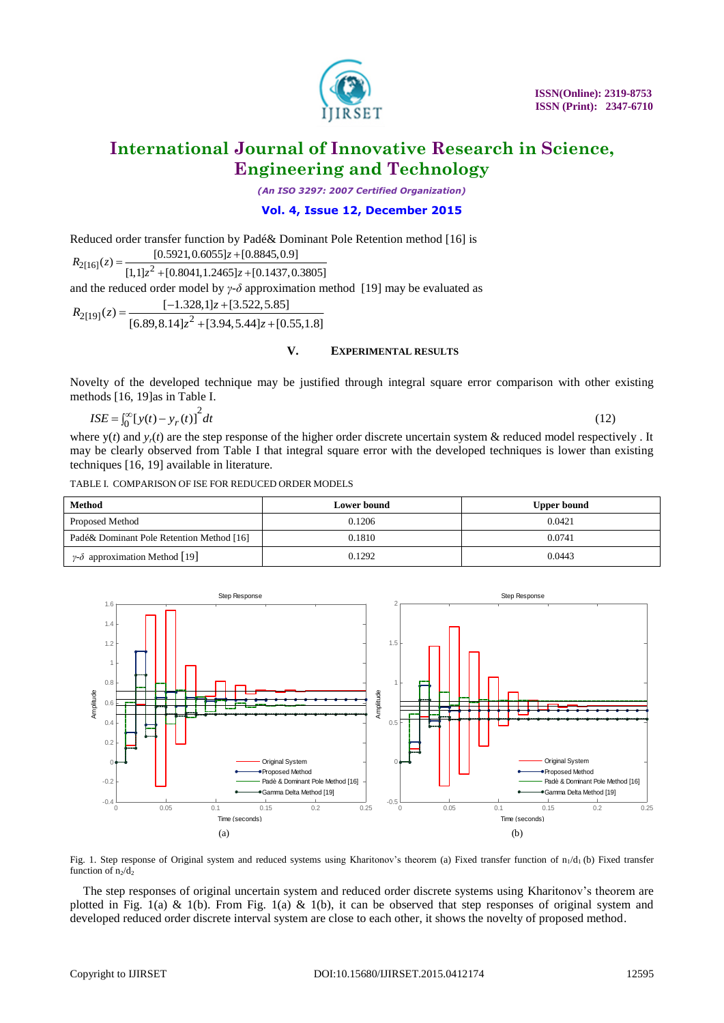

(12)

# **International Journal of Innovative Research in Science, Engineering and Technology**

*(An ISO 3297: 2007 Certified Organization)*

# **Vol. 4, Issue 12, December 2015**

Reduced order transfer function by Padé& Dominant Pole Retention method [16] is<br>  $R_{2[16]}(z) = \frac{[0.5921, 0.6055]z + [0.8845, 0.9]}{[1.11z^2 + [0.8041, 1.2455]z + [0.1437, 0.3805]z}$  $R_{2[16]}(z) =$ <br> $R_{2[16]}(z) = \frac{1}{\sqrt{11+z^2}}$ *z*

 $[0.5921, 0.6055] z + [0.8845, 0.9]$ <br> $[1,1] z^2 + [0.8041, 1.2465] z + [0.1437, 0.3805]$ and the reduced order model by *γ-δ* approximation method [19] may be evaluated as<br>  $R_{2[19]}(z) = \frac{[-1.328,1]z + [3.522,5.85]}{[56,80,8,141z^2 + [3.904,5.441z + [0.55,1.81z]]}$  $2[19]$  $(z) = \frac{1}{16}$  80 8  $141z^2$  $[-1.328, 1]z + [3.522, 5.85]$ <br> $[6.89, 8.14]z^2 + [3.94, 5.44]z + [0.55, 1.8]$ *z* model by  $\gamma$ - $\delta$  ap<br>-1.328,1]z + [3.522 and the redi $R_{2[19]}(z) =$ 

## **V. EXPERIMENTAL RESULTS**

Novelty of the developed technique may be justified through integral square error comparison with other existing methods [16, 19]as in Table I.

$$
ISE = \int_0^\infty [y(t) - y_r(t)]^2 dt
$$

where  $y(t)$  and  $y<sub>r</sub>(t)$  are the step response of the higher order discrete uncertain system & reduced model respectively. It may be clearly observed from Table I that integral square error with the developed techniques is lower than existing techniques [16, 19] available in literature.

TABLE I. COMPARISON OF ISE FOR REDUCED ORDER MODELS

| Method                                        | Lower bound | <b>Upper bound</b> |
|-----------------------------------------------|-------------|--------------------|
| <b>Proposed Method</b>                        | 0.1206      | 0.0421             |
| Padé& Dominant Pole Retention Method [16]     | 0.1810      | 0.0741             |
| $\gamma$ - $\delta$ approximation Method [19] | 0.1292      | 0.0443             |



Fig. 1. Step response of Original system and reduced systems using Kharitonov's theorem (a) Fixed transfer function of n<sub>1</sub>/d<sub>1</sub> (b) Fixed transfer function of  $n_2/d_2$ 

The step responses of original uncertain system and reduced order discrete systems using Kharitonov's theorem are plotted in Fig. 1(a) & 1(b). From Fig. 1(a) & 1(b), it can be observed that step responses of original system and developed reduced order discrete interval system are close to each other, it shows the novelty of proposed method.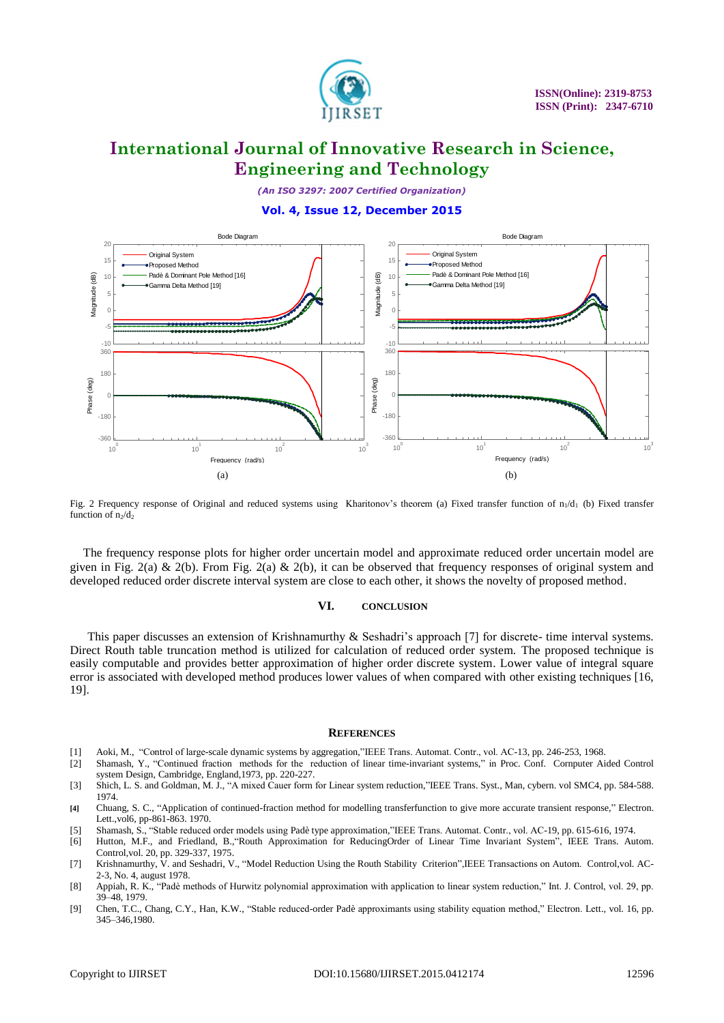

*(An ISO 3297: 2007 Certified Organization)*

#### **Vol. 4, Issue 12, December 2015**



Fig. 2 Frequency response of Original and reduced systems using Kharitonov's theorem (a) Fixed transfer function of  $n_1/d_1$  (b) Fixed transfer function of  $n_2/d_2$ 

The frequency response plots for higher order uncertain model and approximate reduced order uncertain model are given in Fig. 2(a) & 2(b). From Fig. 2(a) & 2(b), it can be observed that frequency responses of original system and developed reduced order discrete interval system are close to each other, it shows the novelty of proposed method.

#### **VI. CONCLUSION**

This paper discusses an extension of Krishnamurthy & Seshadri's approach [7] for discrete- time interval systems. Direct Routh table truncation method is utilized for calculation of reduced order system. The proposed technique is easily computable and provides better approximation of higher order discrete system. Lower value of integral square error is associated with developed method produces lower values of when compared with other existing techniques [16, 19].

#### **REFERENCES**

- [1] Aoki, M., "Control of large-scale dynamic systems by aggregation,"IEEE Trans. Automat. Contr., vol. AC-13, pp. 246-253, 1968.
- [2] Shamash, Y., "Continued fraction methods for the reduction of linear time-invariant systems," in Proc. Conf. Cornputer Aided Control system Design, Cambridge, England,1973, pp. 220-227.
- [3] Shich, L. S. and Goldman, M. J., "A mixed Cauer form for Linear system reduction,"IEEE Trans. Syst., Man, cybern. vol SMC4, pp. 584-588. 1974.
- [4] Chuang, S. C., "Application of continued-fraction method for modelling transferfunction to give more accurate transient response," Electron. Lett.,vol6, pp-861-863. 1970.
- [5] Shamash, S., "Stable reduced order models using Padè type approximation,"IEEE Trans. Automat. Contr., vol. AC-19, pp. 615-616, 1974.
- [6] Hutton, M.F., and Friedland, B., "Routh Approximation for ReducingOrder of Linear Time Invariant System", IEEE Trans. Autom. Control,vol. 20, pp. 329-337, 1975.
- [7] Krishnamurthy, V. and Seshadri, V., "Model Reduction Using the Routh Stability Criterion",IEEE Transactions on Autom. Control,vol. AC-2-3, No. 4, august 1978.
- [8] Appiah, R. K., "Padè methods of Hurwitz polynomial approximation with application to linear system reduction," Int. J. Control, vol. 29, pp. 39–48, 1979.
- [9] Chen, T.C., Chang, C.Y., Han, K.W., "Stable reduced-order Padè approximants using stability equation method," Electron. Lett., vol. 16, pp. 345–346,1980.